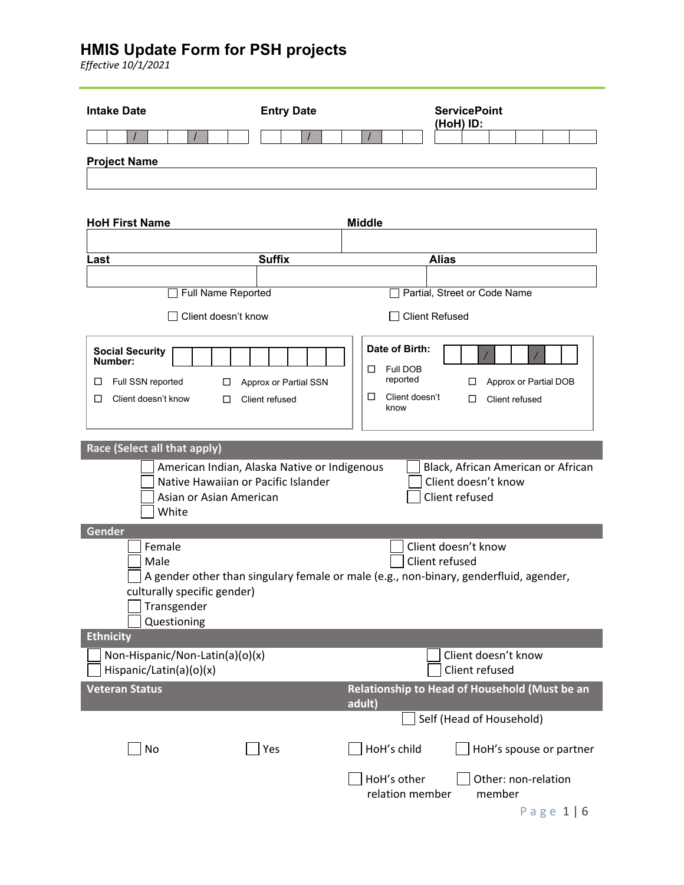| <b>Intake Date</b>                                                                                                                                                                                                      | <b>Entry Date</b>                       | <b>ServicePoint</b><br>(HoH) ID:                                                                                                     |  |
|-------------------------------------------------------------------------------------------------------------------------------------------------------------------------------------------------------------------------|-----------------------------------------|--------------------------------------------------------------------------------------------------------------------------------------|--|
|                                                                                                                                                                                                                         |                                         |                                                                                                                                      |  |
| <b>Project Name</b>                                                                                                                                                                                                     |                                         |                                                                                                                                      |  |
|                                                                                                                                                                                                                         |                                         |                                                                                                                                      |  |
| <b>HoH First Name</b>                                                                                                                                                                                                   |                                         | <b>Middle</b>                                                                                                                        |  |
|                                                                                                                                                                                                                         |                                         |                                                                                                                                      |  |
| Last                                                                                                                                                                                                                    | <b>Suffix</b>                           | <b>Alias</b>                                                                                                                         |  |
| Full Name Reported                                                                                                                                                                                                      |                                         | Partial, Street or Code Name                                                                                                         |  |
|                                                                                                                                                                                                                         |                                         |                                                                                                                                      |  |
| Client doesn't know                                                                                                                                                                                                     |                                         | <b>Client Refused</b>                                                                                                                |  |
| <b>Social Security</b><br>Number:<br>Full SSN reported<br>□<br>ш<br>Client doesn't know<br>□<br>□                                                                                                                       | Approx or Partial SSN<br>Client refused | Date of Birth:<br>Full DOB<br>□<br>reported<br>□<br>Approx or Partial DOB<br>Client doesn't<br>$\Box$<br>Client refused<br>□<br>know |  |
| American Indian, Alaska Native or Indigenous<br>Native Hawaiian or Pacific Islander<br>Asian or Asian American<br>White                                                                                                 |                                         | Black, African American or African<br>Client doesn't know<br>Client refused                                                          |  |
| Gender<br>Female<br>Client doesn't know<br>Client refused<br>Male<br>A gender other than singulary female or male (e.g., non-binary, genderfluid, agender,<br>culturally specific gender)<br>Transgender<br>Questioning |                                         |                                                                                                                                      |  |
| <b>Ethnicity</b>                                                                                                                                                                                                        |                                         |                                                                                                                                      |  |
| Non-Hispanic/Non-Latin(a)(o)(x)<br>Hispanic/Latin(a)(o)(x)                                                                                                                                                              |                                         | Client doesn't know<br>Client refused                                                                                                |  |
| <b>Veteran Status</b>                                                                                                                                                                                                   |                                         | Relationship to Head of Household (Must be an                                                                                        |  |
|                                                                                                                                                                                                                         |                                         | adult)<br>Self (Head of Household)                                                                                                   |  |
| No                                                                                                                                                                                                                      | Yes                                     | HoH's child<br>HoH's spouse or partner                                                                                               |  |
|                                                                                                                                                                                                                         |                                         | HoH's other<br>Other: non-relation<br>relation member<br>member<br>Page $1 6$                                                        |  |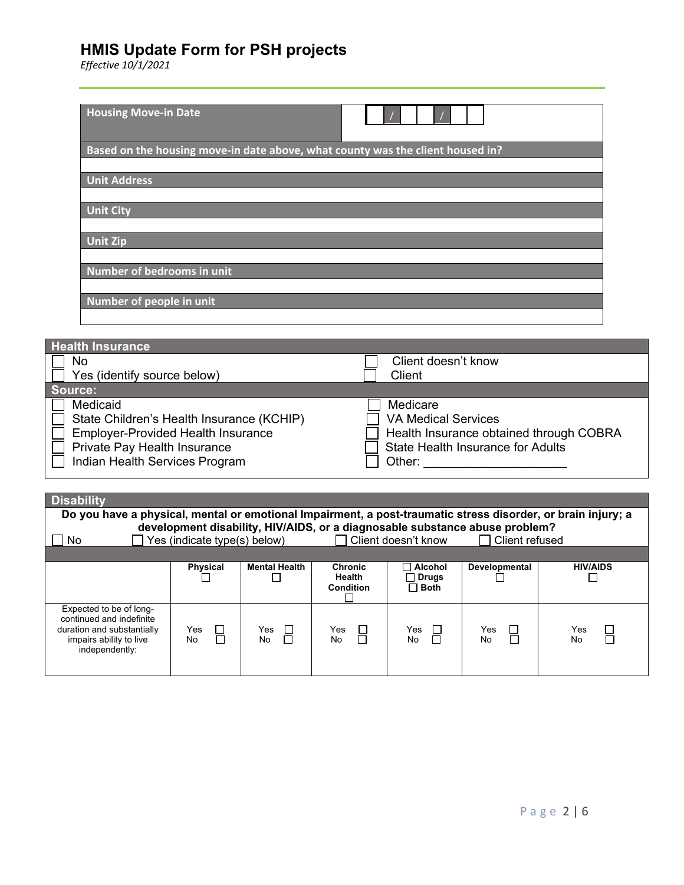| <b>Housing Move-in Date</b>       |                                                                                |
|-----------------------------------|--------------------------------------------------------------------------------|
|                                   | Based on the housing move-in date above, what county was the client housed in? |
| <b>Unit Address</b>               |                                                                                |
| <b>Unit City</b>                  |                                                                                |
| <b>Unit Zip</b>                   |                                                                                |
| Number of bedrooms in unit        |                                                                                |
| Number of people in unit          |                                                                                |
|                                   |                                                                                |
| <b>Health Insurance</b>           |                                                                                |
| No<br>Yes (identify source below) | Client doesn't know<br>Client                                                  |

| <b>I CS (IGGIILIIV SUUILE DEIUW)</b>      | <b>VIIQIIL</b>                           |
|-------------------------------------------|------------------------------------------|
| Source:                                   |                                          |
| Medicaid                                  | Medicare                                 |
| State Children's Health Insurance (KCHIP) | <b>VA Medical Services</b>               |
| <b>Employer-Provided Health Insurance</b> | Health Insurance obtained through COBRA  |
| Private Pay Health Insurance              | <b>State Health Insurance for Adults</b> |
| Indian Health Services Program            | Other:                                   |
|                                           |                                          |

| <b>Disability</b>                                                                                                              |                                                                                                                                                                                             |                          |                                                     |                                        |                          |                     |
|--------------------------------------------------------------------------------------------------------------------------------|---------------------------------------------------------------------------------------------------------------------------------------------------------------------------------------------|--------------------------|-----------------------------------------------------|----------------------------------------|--------------------------|---------------------|
|                                                                                                                                | Do you have a physical, mental or emotional Impairment, a post-traumatic stress disorder, or brain injury; a<br>development disability, HIV/AIDS, or a diagnosable substance abuse problem? |                          |                                                     |                                        |                          |                     |
| No                                                                                                                             | $\Box$ Yes (indicate type(s) below)                                                                                                                                                         |                          |                                                     | $\Box$ Client doesn't know             | □ Client refused         |                     |
|                                                                                                                                |                                                                                                                                                                                             |                          |                                                     |                                        |                          |                     |
|                                                                                                                                | <b>Physical</b>                                                                                                                                                                             | <b>Mental Health</b>     | <b>Chronic</b><br><b>Health</b><br><b>Condition</b> | Alcohol<br>$\Box$ Drugs<br>$\Box$ Both | <b>Developmental</b>     | <b>HIV/AIDS</b>     |
| Expected to be of long-<br>continued and indefinite<br>duration and substantially<br>impairs ability to live<br>independently: | Yes<br>No                                                                                                                                                                                   | Yes<br>$\Box$<br>П<br>No | Yes<br>$\Box$<br>No                                 | Yes<br>$\pm$<br>$\Box$<br>No           | Yes<br>$\Box$<br>┑<br>No | □<br>Yes<br>П<br>No |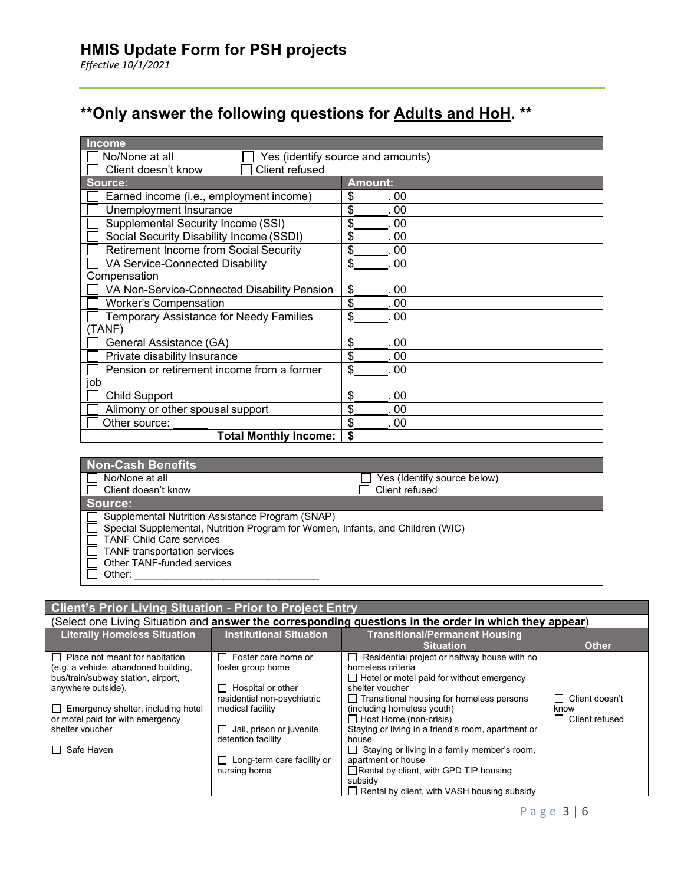# **\*\*Only answer the following questions for Adults and HoH. \*\***

| <b>Income</b>                                 |                                   |
|-----------------------------------------------|-----------------------------------|
| No/None at all                                | Yes (identify source and amounts) |
| Client refused<br>Client doesn't know         |                                   |
| Source:                                       | <b>Amount:</b>                    |
| Earned income (i.e., employment income)       | \$<br>. 00                        |
| Unemployment Insurance                        | \$<br>. 00                        |
| Supplemental Security Income (SSI)            | \$<br>.00                         |
| Social Security Disability Income (SSDI)      | \$<br>. 00                        |
| <b>Retirement Income from Social Security</b> | \$<br>. 00                        |
| VA Service-Connected Disability               | \$<br>. 00                        |
| Compensation                                  |                                   |
| VA Non-Service-Connected Disability Pension   | \$<br>. 00                        |
| <b>Worker's Compensation</b>                  | \$<br>. 00                        |
| Temporary Assistance for Needy Families       | \$<br>00                          |
| (TANF)                                        |                                   |
| General Assistance (GA)                       | \$<br>00                          |
| Private disability Insurance                  | \$<br>00                          |
| Pension or retirement income from a former    | \$<br>00                          |
| job                                           |                                   |
| <b>Child Support</b>                          | \$<br>. 00                        |
| Alimony or other spousal support              | \$<br>. 00                        |
| Other source:                                 | \$<br>.00                         |
| <b>Total Monthly Income:</b>                  | \$                                |
|                                               |                                   |

| <b>Non-Cash Benefits</b>                                                                                                                                                                                                                             |                             |
|------------------------------------------------------------------------------------------------------------------------------------------------------------------------------------------------------------------------------------------------------|-----------------------------|
| No/None at all                                                                                                                                                                                                                                       | Yes (Identify source below) |
| Client doesn't know                                                                                                                                                                                                                                  | Client refused              |
| Source:                                                                                                                                                                                                                                              |                             |
| Supplemental Nutrition Assistance Program (SNAP)<br>Special Supplemental, Nutrition Program for Women, Infants, and Children (WIC)<br><b>TANF Child Care services</b><br><b>TANF</b> transportation services<br>Other TANF-funded services<br>Other: |                             |

#### **Client's Prior Living Situation - Prior to Project Entry**

| (Select one Living Situation and answer the corresponding questions in the order in which they appear) |                                   |                                                              |                                |  |
|--------------------------------------------------------------------------------------------------------|-----------------------------------|--------------------------------------------------------------|--------------------------------|--|
| <b>Literally Homeless Situation</b>                                                                    | <b>Institutional Situation</b>    | <b>Transitional/Permanent Housing</b>                        |                                |  |
|                                                                                                        |                                   | <b>Situation</b>                                             | <b>Other</b>                   |  |
| $\Box$ Place not meant for habitation                                                                  | Foster care home or               | Residential project or halfway house with no<br>$\mathsf{L}$ |                                |  |
| (e.g. a vehicle, abandoned building,                                                                   | foster group home                 | homeless criteria                                            |                                |  |
| bus/train/subway station, airport,                                                                     |                                   | $\Box$ Hotel or motel paid for without emergency             |                                |  |
| anywhere outside).                                                                                     | Hospital or other                 | shelter voucher                                              |                                |  |
|                                                                                                        | residential non-psychiatric       | $\Box$ Transitional housing for homeless persons             | Client doesn't<br>$\sim$       |  |
| $\Box$ Emergency shelter, including hotel                                                              | medical facility                  | (including homeless youth)                                   | know                           |  |
| or motel paid for with emergency                                                                       |                                   | $\Box$ Host Home (non-crisis)                                | Client refused<br>$\mathsf{L}$ |  |
| shelter voucher                                                                                        | $\Box$ Jail, prison or juvenile   | Staying or living in a friend's room, apartment or           |                                |  |
|                                                                                                        | detention facility                | house                                                        |                                |  |
| $\Box$ Safe Haven                                                                                      |                                   | $\Box$ Staying or living in a family member's room,          |                                |  |
|                                                                                                        | $\Box$ Long-term care facility or | apartment or house                                           |                                |  |
|                                                                                                        | nursing home                      | □Rental by client, with GPD TIP housing                      |                                |  |
|                                                                                                        |                                   | subsidy                                                      |                                |  |
|                                                                                                        |                                   | Rental by client, with VASH housing subsidy                  |                                |  |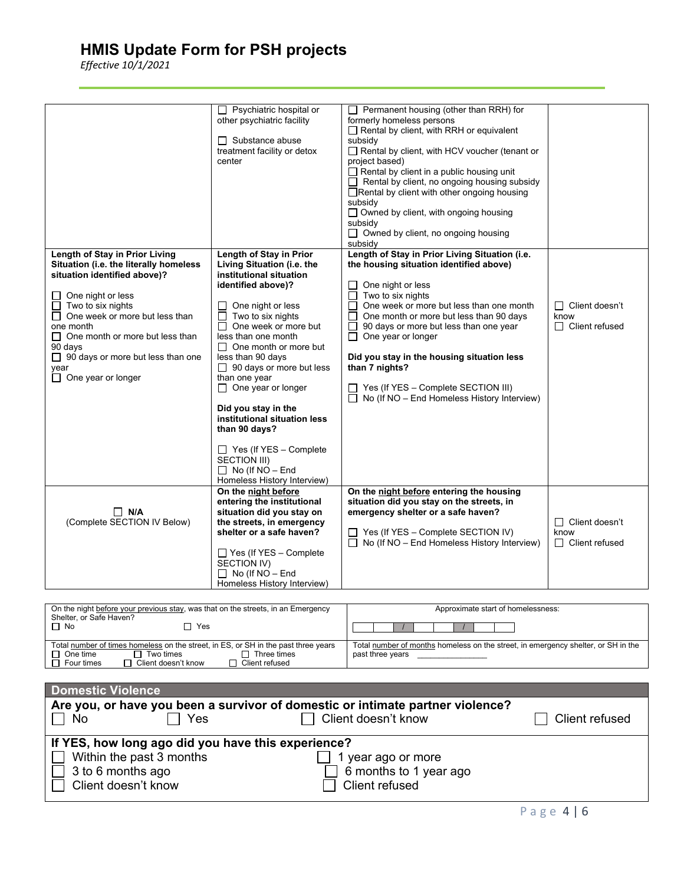| Length of Stay in Prior Living<br>Situation (i.e. the literally homeless                                                                                                                                                                                                         | Psychiatric hospital or<br>other psychiatric facility<br>$\Box$ Substance abuse<br>treatment facility or detox<br>center<br>Length of Stay in Prior<br>Living Situation (i.e. the                                                                                                                                                                                                                                                                                                      | $\Box$ Permanent housing (other than RRH) for<br>formerly homeless persons<br>$\Box$ Rental by client, with RRH or equivalent<br>subsidy<br>Rental by client, with HCV voucher (tenant or<br>project based)<br>$\Box$ Rental by client in a public housing unit<br>$\Box$ Rental by client, no ongoing housing subsidy<br>Rental by client with other ongoing housing<br>subsidy<br>$\Box$ Owned by client, with ongoing housing<br>subsidy<br>$\Box$ Owned by client, no ongoing housing<br>subsidy<br>Length of Stay in Prior Living Situation (i.e.<br>the housing situation identified above) |                                                        |
|----------------------------------------------------------------------------------------------------------------------------------------------------------------------------------------------------------------------------------------------------------------------------------|----------------------------------------------------------------------------------------------------------------------------------------------------------------------------------------------------------------------------------------------------------------------------------------------------------------------------------------------------------------------------------------------------------------------------------------------------------------------------------------|---------------------------------------------------------------------------------------------------------------------------------------------------------------------------------------------------------------------------------------------------------------------------------------------------------------------------------------------------------------------------------------------------------------------------------------------------------------------------------------------------------------------------------------------------------------------------------------------------|--------------------------------------------------------|
| situation identified above)?<br>$\Box$ One night or less<br>$\Box$ Two to six nights<br>$\Box$ One week or more but less than<br>one month<br>$\Box$ One month or more but less than<br>90 days<br>$\Box$ 90 days or more but less than one<br>year<br>$\Box$ One year or longer | institutional situation<br>identified above)?<br>One night or less<br>Two to six nights<br>$\Box$<br>$\Box$ One week or more but<br>less than one month<br>$\Box$ One month or more but<br>less than 90 days<br>$\Box$ 90 days or more but less<br>than one year<br>$\Box$ One year or longer<br>Did you stay in the<br>institutional situation less<br>than 90 days?<br>$\Box$ Yes (If YES - Complete<br><b>SECTION III)</b><br>$\Box$ No (If NO - End<br>Homeless History Interview) | One night or less<br>Two to six nights<br>$\Box$<br>One week or more but less than one month<br>$\Box$<br>$\Box$<br>One month or more but less than 90 days<br>90 days or more but less than one year<br>$\Box$<br>One year or longer<br>□<br>Did you stay in the housing situation less<br>than 7 nights?<br>$\Box$ Yes (If YES - Complete SECTION III)<br>No (If NO - End Homeless History Interview)                                                                                                                                                                                           | $\Box$ Client doesn't<br>know<br>$\Box$ Client refused |
| $\Box$ N/A<br>(Complete SECTION IV Below)                                                                                                                                                                                                                                        | On the night before<br>entering the institutional<br>situation did you stay on<br>the streets, in emergency<br>shelter or a safe haven?<br>$\Box$ Yes (If YES – Complete<br><b>SECTION IV)</b><br>$\Box$ No (If NO – End<br>Homeless History Interview)                                                                                                                                                                                                                                | On the night before entering the housing<br>situation did you stay on the streets, in<br>emergency shelter or a safe haven?<br>$\Box$ Yes (If YES – Complete SECTION IV)<br>$\Box$ No (If NO – End Homeless History Interview)                                                                                                                                                                                                                                                                                                                                                                    | □ Client doesn't<br>know<br>$\Box$ Client refused      |

| On the night before your previous stay, was that on the streets, in an Emergency |                     |                                                                                    | Approximate start of homelessness:                                                |  |
|----------------------------------------------------------------------------------|---------------------|------------------------------------------------------------------------------------|-----------------------------------------------------------------------------------|--|
| Shelter, or Safe Haven?                                                          |                     |                                                                                    |                                                                                   |  |
| $\Box$ No                                                                        | Yes                 |                                                                                    |                                                                                   |  |
|                                                                                  |                     |                                                                                    |                                                                                   |  |
|                                                                                  |                     | Total number of times homeless on the street, in ES, or SH in the past three years | Total number of months homeless on the street, in emergency shelter, or SH in the |  |
| One time                                                                         | $\Box$ Two times    | Three times                                                                        | past three years                                                                  |  |
| Four times                                                                       | Client doesn't know | Client refused                                                                     |                                                                                   |  |

| <b>Domestic Violence</b>                           |                                                                                |                             |
|----------------------------------------------------|--------------------------------------------------------------------------------|-----------------------------|
|                                                    | Are you, or have you been a survivor of domestic or intimate partner violence? |                             |
| Yes<br>∣ ∣ No                                      | Client doesn't know                                                            | Client refused              |
| If YES, how long ago did you have this experience? |                                                                                |                             |
| Within the past 3 months                           | year ago or more                                                               |                             |
| 3 to 6 months ago                                  | 6 months to 1 year ago                                                         |                             |
| Client doesn't know                                | Client refused                                                                 |                             |
|                                                    |                                                                                | $\sim$ $\sim$ $\sim$ $\sim$ |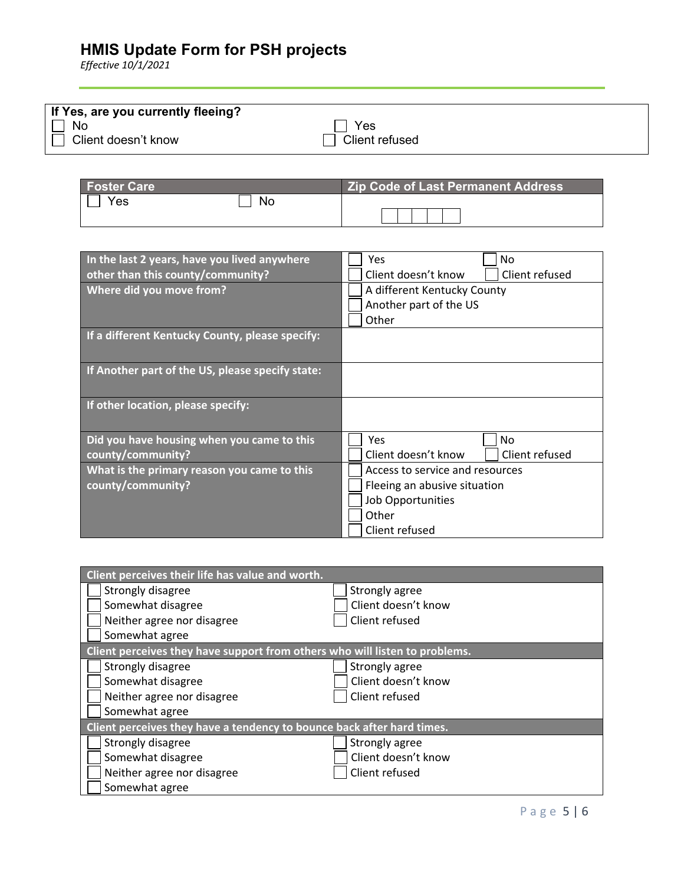| If Yes, are you currently fleeing? |                |
|------------------------------------|----------------|
|                                    |                |
| No                                 | Yes            |
| Client doesn't know                | Client refused |
|                                    |                |

| Foster Care |    | <b>Zip Code of Last Permanent Address</b> |
|-------------|----|-------------------------------------------|
| Yes         | No |                                           |

| In the last 2 years, have you lived anywhere     | Yes<br>No                             |  |
|--------------------------------------------------|---------------------------------------|--|
| other than this county/community?                | Client doesn't know<br>Client refused |  |
| Where did you move from?                         | A different Kentucky County           |  |
|                                                  | Another part of the US                |  |
|                                                  | Other                                 |  |
| If a different Kentucky County, please specify:  |                                       |  |
|                                                  |                                       |  |
| If Another part of the US, please specify state: |                                       |  |
|                                                  |                                       |  |
| If other location, please specify:               |                                       |  |
|                                                  |                                       |  |
| Did you have housing when you came to this       | <b>Yes</b><br><b>No</b>               |  |
| county/community?                                | Client doesn't know<br>Client refused |  |
| What is the primary reason you came to this      | Access to service and resources       |  |
| county/community?                                | Fleeing an abusive situation          |  |
|                                                  | Job Opportunities                     |  |
|                                                  | Other                                 |  |
|                                                  | Client refused                        |  |

| Client perceives their life has value and worth.                            |                     |  |
|-----------------------------------------------------------------------------|---------------------|--|
| Strongly disagree                                                           | Strongly agree      |  |
| Somewhat disagree                                                           | Client doesn't know |  |
| Neither agree nor disagree                                                  | Client refused      |  |
| Somewhat agree                                                              |                     |  |
| Client perceives they have support from others who will listen to problems. |                     |  |
| Strongly disagree                                                           | Strongly agree      |  |
| Somewhat disagree                                                           | Client doesn't know |  |
| Neither agree nor disagree                                                  | Client refused      |  |
| Somewhat agree                                                              |                     |  |
| Client perceives they have a tendency to bounce back after hard times.      |                     |  |
| Strongly disagree                                                           | Strongly agree      |  |
| Somewhat disagree                                                           | Client doesn't know |  |
| Neither agree nor disagree                                                  | Client refused      |  |
| Somewhat agree                                                              |                     |  |